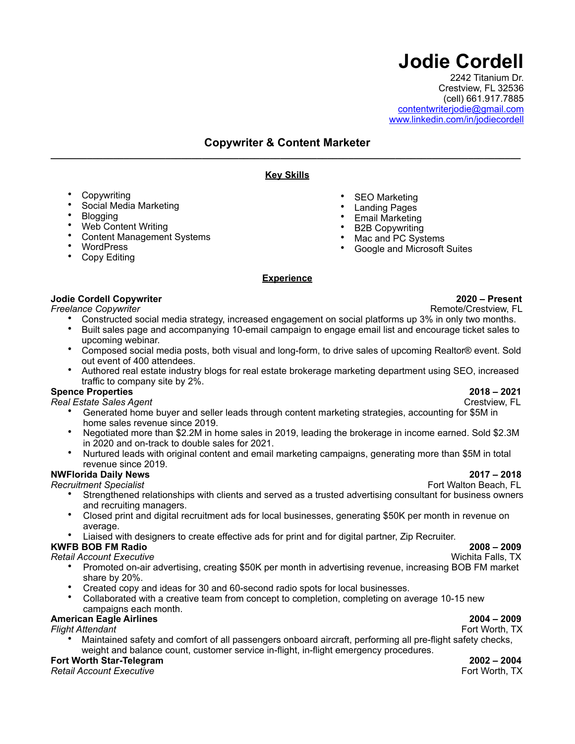# **Jodie Cordell**

2242 Titanium Dr. Crestview, FL 32536 (cell) 661.917.7885 [contentwriterjodie@gmail.com](mailto:contentwriterjodie@gmail.com) [www.linkedin.com/in/jodiecordell](http://www.linkedin.com/in/jodiecordell)

# Copywriter & Content Marketer

# **Key Skills**

- **Copywriting**
- Social Media Marketing
- **Blogging**
- Web Content Writing
- Content Management Systems
- WordPress
- Copy Editing

# **Experience**

# **Jodie Cordell Copywriter 2020 – Present**

- Constructed social media strategy, increased engagement on social platforms up 3% in only two months.<br>• Built sales nage and accompanying 10-email campaign to engage email list and encourage ticket sales to
- Built sales page and accompanying 10-email campaign to engage email list and encourage ticket sales to upcoming webinar.
- Composed social media posts, both visual and long-form, to drive sales of upcoming Realtor® event. Sold out event of 400 attendees.
- Authored real estate industry blogs for real estate brokerage marketing department using SEO, increased traffic to company site by 2%.

# **Spence Properties 2018 – 2021**<br>Real Estate Sales Agent

 $Real$ *Estate Sales Agent* 

- Generated home buyer and seller leads through content marketing strategies, accounting for \$5M in home sales revenue since 2019.
- Negotiated more than \$2.2M in home sales in 2019, leading the brokerage in income earned. Sold \$2.3M in 2020 and on-track to double sales for 2021.
- Nurtured leads with original content and email marketing campaigns, generating more than \$5M in total revenue since 2019.

# **NWFlorida Daily News 2017 – 2018**

*Recruitment Specialist* Fort Walton Beach, FL

- Strengthened relationships with clients and served as a trusted advertising consultant for business owners and recruiting managers.
- Closed print and digital recruitment ads for local businesses, generating \$50K per month in revenue on average.
- Liaised with designers to create effective ads for print and for digital partner, Zip Recruiter.

**KWFB BOB FM Radio 2008 – 2009 Retail Account Executive** 

- Promoted on-air advertising, creating \$50K per month in advertising revenue, increasing BOB FM market share by 20%.
- Created copy and ideas for 30 and 60-second radio spots for local businesses.
- Collaborated with a creative team from concept to completion, completing on average 10-15 new campaigns each month.

# **American Eagle Airlines 2004 – 2009**

*Flight Attendant* Fort Worth, TX

• Maintained safety and comfort of all passengers onboard aircraft, performing all pre-flight safety checks, weight and balance count, customer service in-flight, in-flight emergency procedures.

# **Fort Worth Star-Telegram 2002 – 2004**

*Retail Account Executive* Fort Worth, TX

**Remote/Crestview, FL** 

SEO Marketing • Landing Pages **Email Marketing B2B Copywriting** • Mac and PC Systems • Google and Microsoft Suites